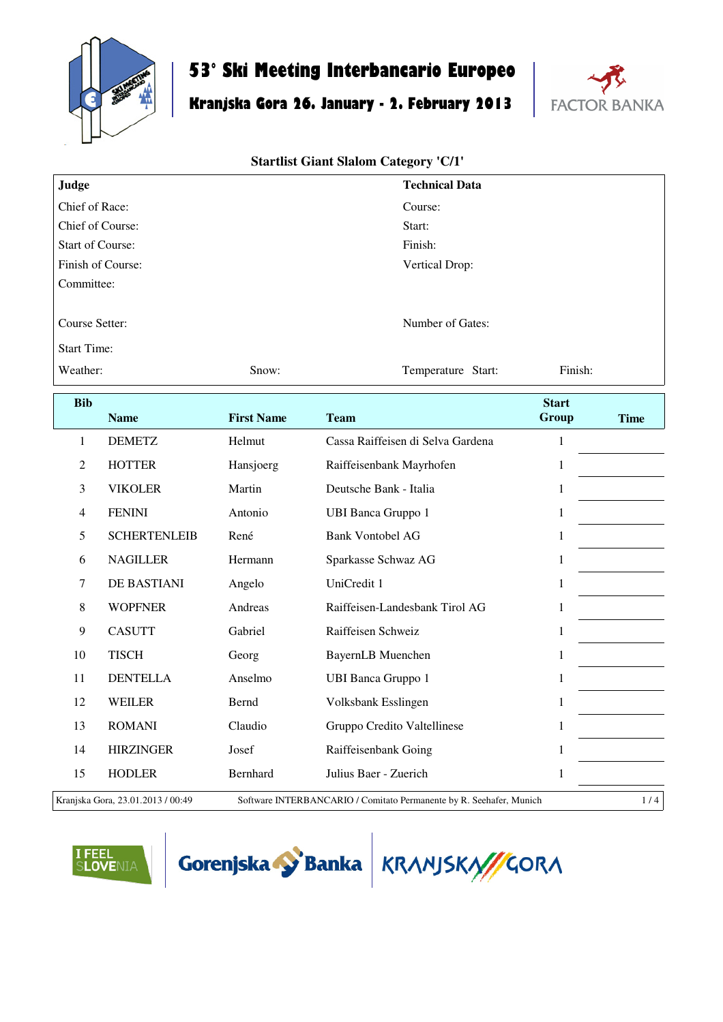

## **53° Ski Meeting Interbancario Europeo**

# **Kranjska Gora 26. January - 2. February 2013**



#### **Startlist Giant Slalom Category 'C/1'**

| Judge                   |                     |                   | <b>Technical Data</b>             |              |             |  |  |
|-------------------------|---------------------|-------------------|-----------------------------------|--------------|-------------|--|--|
| Chief of Race:          |                     |                   | Course:                           |              |             |  |  |
| Chief of Course:        |                     |                   | Start:                            |              |             |  |  |
| <b>Start of Course:</b> |                     |                   | Finish:                           |              |             |  |  |
| Finish of Course:       |                     |                   | Vertical Drop:                    |              |             |  |  |
| Committee:              |                     |                   |                                   |              |             |  |  |
| Course Setter:          |                     |                   | Number of Gates:                  |              |             |  |  |
| <b>Start Time:</b>      |                     |                   |                                   |              |             |  |  |
| Weather:                |                     | Snow:             | Temperature Start:                | Finish:      |             |  |  |
| <b>Bib</b>              |                     |                   |                                   | <b>Start</b> |             |  |  |
|                         | <b>Name</b>         | <b>First Name</b> | <b>Team</b>                       | Group        | <b>Time</b> |  |  |
| $\mathbf{1}$            | <b>DEMETZ</b>       | Helmut            | Cassa Raiffeisen di Selva Gardena | $\mathbf{1}$ |             |  |  |
| $\overline{2}$          | <b>HOTTER</b>       | Hansjoerg         | Raiffeisenbank Mayrhofen          | $\mathbf{1}$ |             |  |  |
| 3                       | <b>VIKOLER</b>      | Martin            | Deutsche Bank - Italia            | $\mathbf{1}$ |             |  |  |
| $\overline{4}$          | <b>FENINI</b>       | Antonio           | <b>UBI Banca Gruppo 1</b>         | $\mathbf{1}$ |             |  |  |
| 5                       | <b>SCHERTENLEIB</b> | René              | <b>Bank Vontobel AG</b>           | $1\,$        |             |  |  |
| 6                       | <b>NAGILLER</b>     | Hermann           | Sparkasse Schwaz AG               | $\mathbf{1}$ |             |  |  |
| $\tau$                  | DE BASTIANI         | Angelo            | UniCredit 1                       | $\mathbf{1}$ |             |  |  |
| $\,8\,$                 | <b>WOPFNER</b>      | Andreas           | Raiffeisen-Landesbank Tirol AG    | $\mathbf{1}$ |             |  |  |
| 9                       | <b>CASUTT</b>       | Gabriel           | Raiffeisen Schweiz                | $\mathbf{1}$ |             |  |  |
| 10                      | <b>TISCH</b>        | Georg             | <b>BayernLB</b> Muenchen          | $\mathbf{1}$ |             |  |  |
| 11                      | <b>DENTELLA</b>     | Anselmo           | <b>UBI Banca Gruppo 1</b>         | $\mathbf{1}$ |             |  |  |
| 12                      | <b>WEILER</b>       | Bernd             | Volksbank Esslingen               | $\mathbf{1}$ |             |  |  |
| 13                      | <b>ROMANI</b>       | Claudio           | Gruppo Credito Valtellinese       | 1            |             |  |  |
| 14                      | <b>HIRZINGER</b>    | Josef             | Raiffeisenbank Going              | $\mathbf{1}$ |             |  |  |
| 15                      | <b>HODLER</b>       | Bernhard          | Julius Baer - Zuerich             | $\,1$        |             |  |  |

Kranjska Gora, 23.01.2013 / 00:49 Software INTERBANCARIO / Comitato Permanente by R. Seehafer, Munich 1 / 4





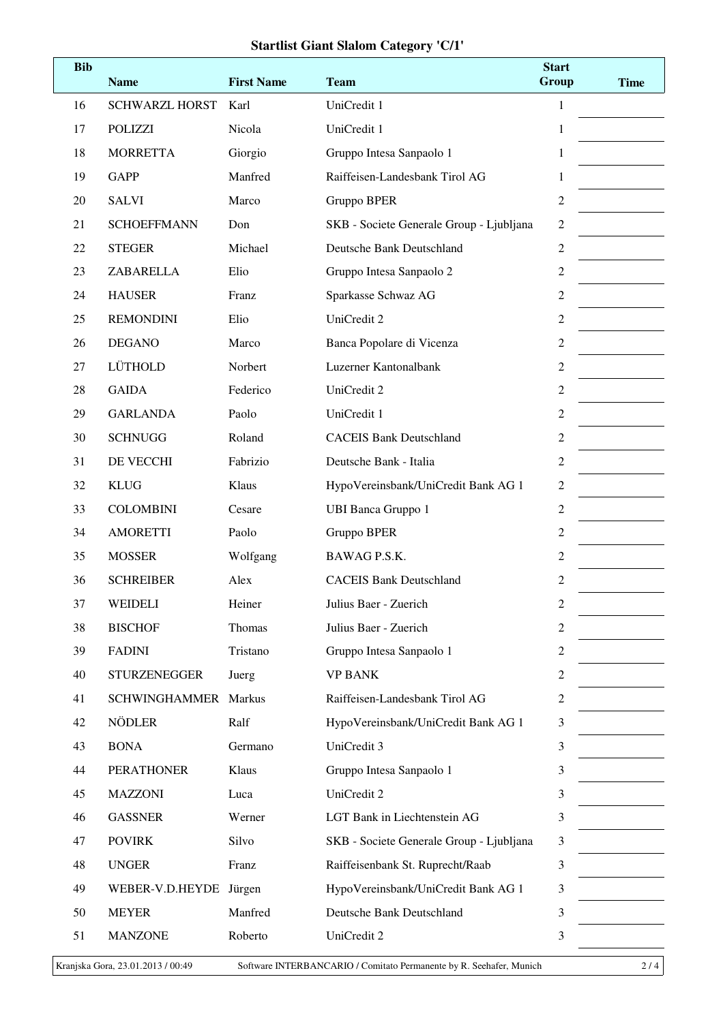### **Startlist Giant Slalom Category 'C/1'**

| <b>Bib</b> | <b>Name</b>           | <b>First Name</b> | <b>Team</b>                              | <b>Start</b><br>Group | <b>Time</b> |
|------------|-----------------------|-------------------|------------------------------------------|-----------------------|-------------|
| 16         | <b>SCHWARZL HORST</b> | Karl              | UniCredit 1                              | 1                     |             |
| 17         | <b>POLIZZI</b>        | Nicola            | UniCredit 1                              | 1                     |             |
| 18         | <b>MORRETTA</b>       | Giorgio           | Gruppo Intesa Sanpaolo 1                 | 1                     |             |
| 19         | <b>GAPP</b>           | Manfred           | Raiffeisen-Landesbank Tirol AG           | 1                     |             |
| 20         | <b>SALVI</b>          | Marco             | Gruppo BPER                              | $\boldsymbol{2}$      |             |
| 21         | <b>SCHOEFFMANN</b>    | Don               | SKB - Societe Generale Group - Ljubljana | $\mathbf{2}$          |             |
| 22         | <b>STEGER</b>         | Michael           | Deutsche Bank Deutschland                | $\overline{2}$        |             |
| 23         | ZABARELLA             | Elio              | Gruppo Intesa Sanpaolo 2                 | $\boldsymbol{2}$      |             |
| 24         | <b>HAUSER</b>         | Franz             | Sparkasse Schwaz AG                      | $\overline{2}$        |             |
| 25         | <b>REMONDINI</b>      | Elio              | UniCredit 2                              | $\mathfrak{2}$        |             |
| 26         | <b>DEGANO</b>         | Marco             | Banca Popolare di Vicenza                | $\sqrt{2}$            |             |
| 27         | LÜTHOLD               | Norbert           | Luzerner Kantonalbank                    | $\sqrt{2}$            |             |
| 28         | <b>GAIDA</b>          | Federico          | UniCredit 2                              | $\boldsymbol{2}$      |             |
| 29         | <b>GARLANDA</b>       | Paolo             | UniCredit 1                              | $\boldsymbol{2}$      |             |
| 30         | <b>SCHNUGG</b>        | Roland            | <b>CACEIS Bank Deutschland</b>           | $\boldsymbol{2}$      |             |
| 31         | DE VECCHI             | Fabrizio          | Deutsche Bank - Italia                   | $\overline{2}$        |             |
| 32         | <b>KLUG</b>           | Klaus             | HypoVereinsbank/UniCredit Bank AG 1      | $\boldsymbol{2}$      |             |
| 33         | <b>COLOMBINI</b>      | Cesare            | <b>UBI Banca Gruppo 1</b>                | $\boldsymbol{2}$      |             |
| 34         | <b>AMORETTI</b>       | Paolo             | Gruppo BPER                              | $\sqrt{2}$            |             |
| 35         | <b>MOSSER</b>         | Wolfgang          | BAWAG P.S.K.                             | 2                     |             |
| 36         | <b>SCHREIBER</b>      | Alex              | <b>CACEIS Bank Deutschland</b>           | 2                     |             |
| 37         | WEIDELI               | Heiner            | Julius Baer - Zuerich                    | $\overline{c}$        |             |
| 38         | <b>BISCHOF</b>        | Thomas            | Julius Baer - Zuerich                    | $\boldsymbol{2}$      |             |
| 39         | <b>FADINI</b>         | Tristano          | Gruppo Intesa Sanpaolo 1                 | 2                     |             |
| 40         | <b>STURZENEGGER</b>   | Juerg             | <b>VP BANK</b>                           | 2                     |             |
| 41         | <b>SCHWINGHAMMER</b>  | Markus            | Raiffeisen-Landesbank Tirol AG           | $\boldsymbol{2}$      |             |
| 42         | <b>NÖDLER</b>         | Ralf              | HypoVereinsbank/UniCredit Bank AG 1      | $\mathfrak{Z}$        |             |
| 43         | <b>BONA</b>           | Germano           | UniCredit 3                              | 3                     |             |
| 44         | <b>PERATHONER</b>     | Klaus             | Gruppo Intesa Sanpaolo 1                 | 3                     |             |
| 45         | <b>MAZZONI</b>        | Luca              | UniCredit 2                              | 3                     |             |
| 46         | <b>GASSNER</b>        | Werner            | LGT Bank in Liechtenstein AG             | 3                     |             |
| 47         | <b>POVIRK</b>         | Silvo             | SKB - Societe Generale Group - Ljubljana | 3                     |             |
| 48         | <b>UNGER</b>          | Franz             | Raiffeisenbank St. Ruprecht/Raab         | 3                     |             |
| 49         | WEBER-V.D.HEYDE       | Jürgen            | HypoVereinsbank/UniCredit Bank AG 1      | 3                     |             |
| 50         | <b>MEYER</b>          | Manfred           | Deutsche Bank Deutschland                | 3                     |             |
| 51         | <b>MANZONE</b>        | Roberto           | UniCredit 2                              | 3                     |             |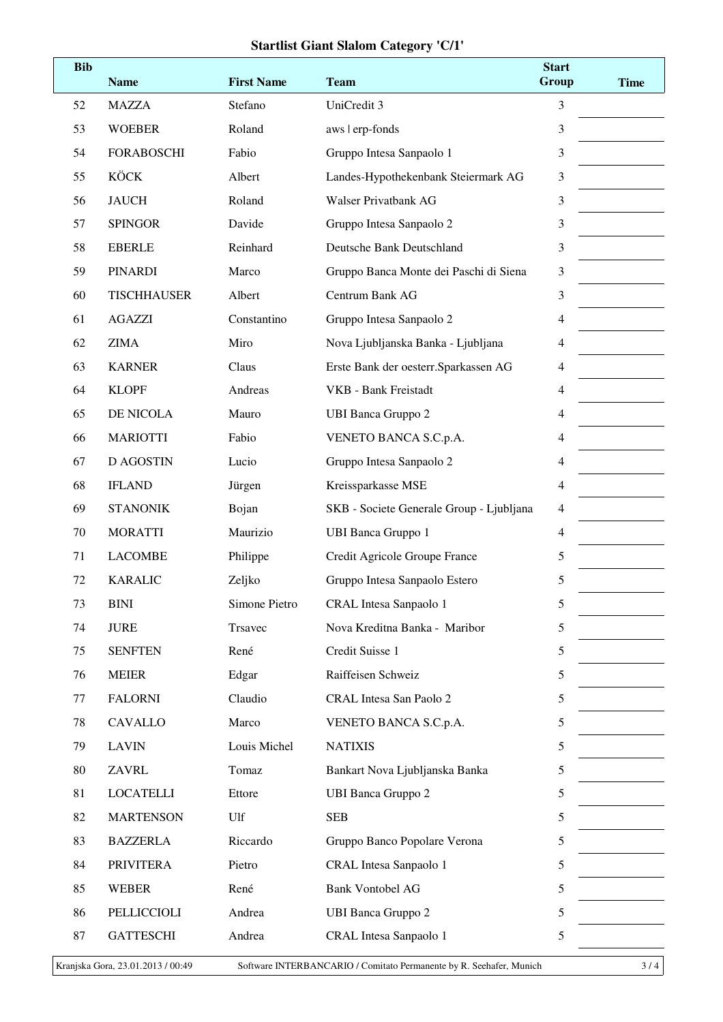### **Startlist Giant Slalom Category 'C/1'**

| <b>Bib</b> | <b>Name</b>                       | <b>First Name</b> | <b>Team</b>                                                         | <b>Start</b><br>Group | <b>Time</b> |
|------------|-----------------------------------|-------------------|---------------------------------------------------------------------|-----------------------|-------------|
| 52         | <b>MAZZA</b>                      | Stefano           | UniCredit 3                                                         | 3                     |             |
| 53         | <b>WOEBER</b>                     | Roland            | aws   erp-fonds                                                     | 3                     |             |
| 54         | <b>FORABOSCHI</b>                 | Fabio             | Gruppo Intesa Sanpaolo 1                                            | 3                     |             |
| 55         | <b>KÖCK</b>                       | Albert            | Landes-Hypothekenbank Steiermark AG                                 | 3                     |             |
| 56         | <b>JAUCH</b>                      | Roland            | <b>Walser Privatbank AG</b>                                         | 3                     |             |
| 57         | <b>SPINGOR</b>                    | Davide            | Gruppo Intesa Sanpaolo 2                                            | 3                     |             |
| 58         | <b>EBERLE</b>                     | Reinhard          | Deutsche Bank Deutschland                                           | 3                     |             |
| 59         | <b>PINARDI</b>                    | Marco             | Gruppo Banca Monte dei Paschi di Siena                              | 3                     |             |
| 60         | <b>TISCHHAUSER</b>                | Albert            | Centrum Bank AG                                                     | 3                     |             |
| 61         | <b>AGAZZI</b>                     | Constantino       | Gruppo Intesa Sanpaolo 2                                            | 4                     |             |
| 62         | <b>ZIMA</b>                       | Miro              | Nova Ljubljanska Banka - Ljubljana                                  | 4                     |             |
| 63         | <b>KARNER</b>                     | Claus             | Erste Bank der oesterr. Sparkassen AG                               | $\overline{4}$        |             |
| 64         | <b>KLOPF</b>                      | Andreas           | VKB - Bank Freistadt                                                | 4                     |             |
| 65         | DE NICOLA                         | Mauro             | <b>UBI Banca Gruppo 2</b>                                           | 4                     |             |
| 66         | <b>MARIOTTI</b>                   | Fabio             | VENETO BANCA S.C.p.A.                                               | $\overline{4}$        |             |
| 67         | <b>D AGOSTIN</b>                  | Lucio             | Gruppo Intesa Sanpaolo 2                                            | 4                     |             |
| 68         | <b>IFLAND</b>                     | Jürgen            | Kreissparkasse MSE                                                  | 4                     |             |
| 69         | <b>STANONIK</b>                   | Bojan             | SKB - Societe Generale Group - Ljubljana                            | $\overline{4}$        |             |
| 70         | <b>MORATTI</b>                    | Maurizio          | <b>UBI Banca Gruppo 1</b>                                           | 4                     |             |
| 71         | <b>LACOMBE</b>                    | Philippe          | Credit Agricole Groupe France                                       | 5                     |             |
| 72         | <b>KARALIC</b>                    | Zeljko            | Gruppo Intesa Sanpaolo Estero                                       | 5                     |             |
| 73         | <b>BINI</b>                       | Simone Pietro     | <b>CRAL</b> Intesa Sanpaolo 1                                       | 5                     |             |
| 74         | <b>JURE</b>                       | Trsavec           | Nova Kreditna Banka - Maribor                                       | 5                     |             |
| 75         | <b>SENFTEN</b>                    | René              | Credit Suisse 1                                                     | 5                     |             |
| 76         | <b>MEIER</b>                      | Edgar             | Raiffeisen Schweiz                                                  | 5                     |             |
| 77         | <b>FALORNI</b>                    | Claudio           | CRAL Intesa San Paolo 2                                             | 5                     |             |
| 78         | <b>CAVALLO</b>                    | Marco             | VENETO BANCA S.C.p.A.                                               | 5                     |             |
| 79         | <b>LAVIN</b>                      | Louis Michel      | <b>NATIXIS</b>                                                      | 5                     |             |
| 80         | <b>ZAVRL</b>                      | Tomaz             | Bankart Nova Ljubljanska Banka                                      | 5                     |             |
| 81         | <b>LOCATELLI</b>                  | Ettore            | <b>UBI Banca Gruppo 2</b>                                           | 5                     |             |
| 82         | <b>MARTENSON</b>                  | Ulf               | <b>SEB</b>                                                          | 5                     |             |
| 83         | <b>BAZZERLA</b>                   | Riccardo          | Gruppo Banco Popolare Verona                                        | 5                     |             |
| 84         | <b>PRIVITERA</b>                  | Pietro            | CRAL Intesa Sanpaolo 1                                              | 5                     |             |
| 85         | <b>WEBER</b>                      | René              | <b>Bank Vontobel AG</b>                                             | 5                     |             |
| 86         | PELLICCIOLI                       | Andrea            | <b>UBI Banca Gruppo 2</b>                                           | 5                     |             |
| 87         | <b>GATTESCHI</b>                  | Andrea            | CRAL Intesa Sanpaolo 1                                              | 5                     |             |
|            | Kranjska Gora, 23.01.2013 / 00:49 |                   | Software INTERBANCARIO / Comitato Permanente by R. Seehafer, Munich |                       | 3/4         |